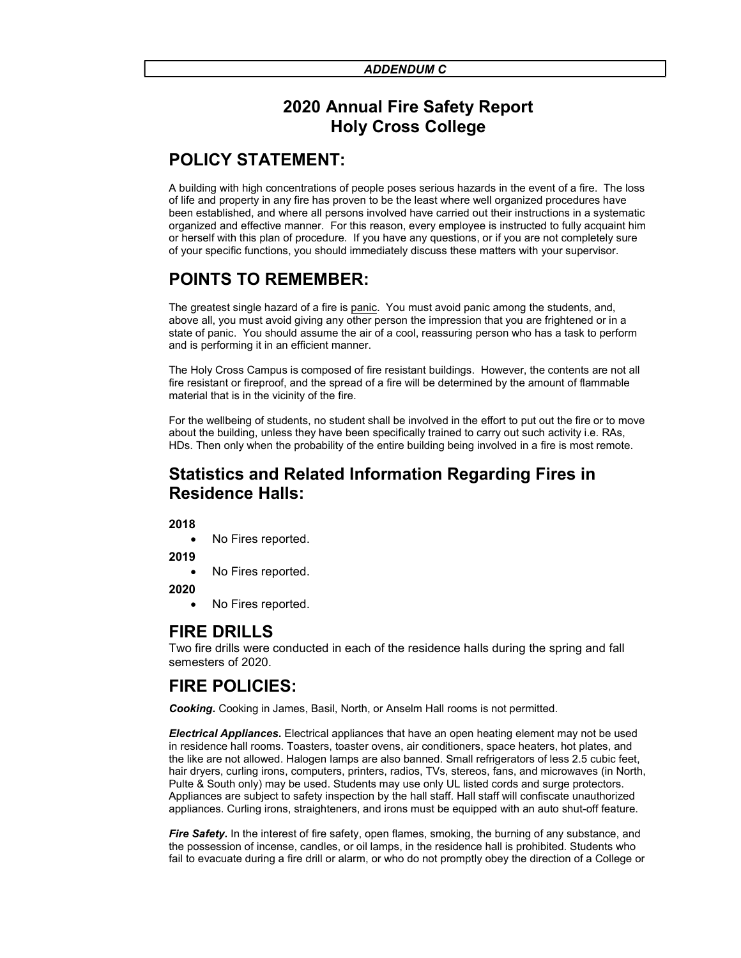## 2020 Annual Fire Safety Report Holy Cross College

### POLICY STATEMENT:

A building with high concentrations of people poses serious hazards in the event of a fire. The loss of life and property in any fire has proven to be the least where well organized procedures have been established, and where all persons involved have carried out their instructions in a systematic organized and effective manner. For this reason, every employee is instructed to fully acquaint him or herself with this plan of procedure. If you have any questions, or if you are not completely sure of your specific functions, you should immediately discuss these matters with your supervisor.

# POINTS TO REMEMBER:

The greatest single hazard of a fire is panic. You must avoid panic among the students, and, above all, you must avoid giving any other person the impression that you are frightened or in a state of panic. You should assume the air of a cool, reassuring person who has a task to perform and is performing it in an efficient manner.

The Holy Cross Campus is composed of fire resistant buildings. However, the contents are not all fire resistant or fireproof, and the spread of a fire will be determined by the amount of flammable material that is in the vicinity of the fire.

For the wellbeing of students, no student shall be involved in the effort to put out the fire or to move about the building, unless they have been specifically trained to carry out such activity i.e. RAs, HDs. Then only when the probability of the entire building being involved in a fire is most remote.

## Statistics and Related Information Regarding Fires in Residence Halls:

2018

No Fires reported.

2019

No Fires reported.

2020

No Fires reported.

### FIRE DRILLS

Two fire drills were conducted in each of the residence halls during the spring and fall semesters of 2020.

## FIRE POLICIES:

Cooking. Cooking in James, Basil, North, or Anselm Hall rooms is not permitted.

**Electrical Appliances.** Electrical appliances that have an open heating element may not be used in residence hall rooms. Toasters, toaster ovens, air conditioners, space heaters, hot plates, and the like are not allowed. Halogen lamps are also banned. Small refrigerators of less 2.5 cubic feet, hair dryers, curling irons, computers, printers, radios, TVs, stereos, fans, and microwaves (in North, Pulte & South only) may be used. Students may use only UL listed cords and surge protectors. Appliances are subject to safety inspection by the hall staff. Hall staff will confiscate unauthorized appliances. Curling irons, straighteners, and irons must be equipped with an auto shut-off feature.

**Fire Safety.** In the interest of fire safety, open flames, smoking, the burning of any substance, and the possession of incense, candles, or oil lamps, in the residence hall is prohibited. Students who fail to evacuate during a fire drill or alarm, or who do not promptly obey the direction of a College or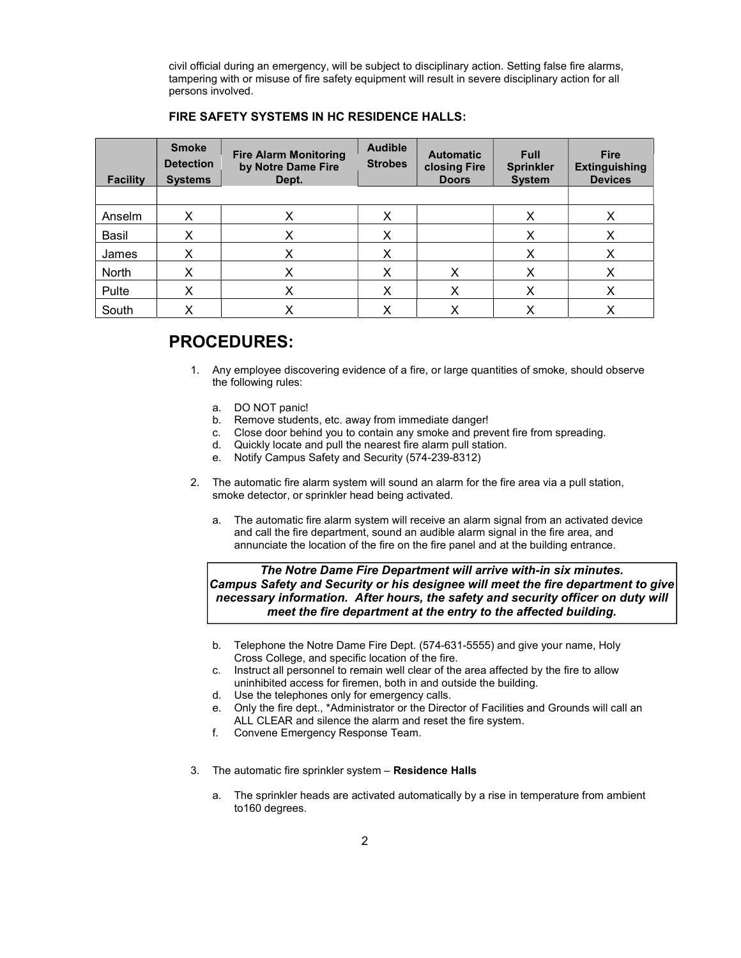civil official during an emergency, will be subject to disciplinary action. Setting false fire alarms, tampering with or misuse of fire safety equipment will result in severe disciplinary action for all persons involved.

#### FIRE SAFETY SYSTEMS IN HC RESIDENCE HALLS:

| <b>Facility</b> | <b>Smoke</b><br><b>Detection</b><br><b>Systems</b> | <b>Fire Alarm Monitoring</b><br>by Notre Dame Fire<br>Dept. | <b>Audible</b><br><b>Strobes</b> | <b>Automatic</b><br>closing Fire<br><b>Doors</b> | <b>Full</b><br><b>Sprinkler</b><br><b>System</b> | <b>Fire</b><br><b>Extinguishing</b><br><b>Devices</b> |
|-----------------|----------------------------------------------------|-------------------------------------------------------------|----------------------------------|--------------------------------------------------|--------------------------------------------------|-------------------------------------------------------|
|                 |                                                    |                                                             |                                  |                                                  |                                                  |                                                       |
| Anselm          | Х                                                  | х                                                           | X                                |                                                  | X                                                |                                                       |
| Basil           | X                                                  | х                                                           | X                                |                                                  | X                                                |                                                       |
| James           | X                                                  | X                                                           | X                                |                                                  | X                                                |                                                       |
| North           | Χ                                                  | x                                                           | X                                | X                                                | X                                                |                                                       |
| Pulte           | x                                                  | х                                                           | X                                | X                                                | х                                                |                                                       |
| South           | Χ                                                  |                                                             |                                  | Х                                                | х                                                |                                                       |

### PROCEDURES:

- 1. Any employee discovering evidence of a fire, or large quantities of smoke, should observe the following rules:
	- a. DO NOT panic!
	- b. Remove students, etc. away from immediate danger!
	- c. Close door behind you to contain any smoke and prevent fire from spreading.
	- d. Quickly locate and pull the nearest fire alarm pull station.
	- e. Notify Campus Safety and Security (574-239-8312)
- 2. The automatic fire alarm system will sound an alarm for the fire area via a pull station, smoke detector, or sprinkler head being activated.
	- a. The automatic fire alarm system will receive an alarm signal from an activated device and call the fire department, sound an audible alarm signal in the fire area, and annunciate the location of the fire on the fire panel and at the building entrance.

The Notre Dame Fire Department will arrive with-in six minutes. Campus Safety and Security or his designee will meet the fire department to give necessary information. After hours, the safety and security officer on duty will meet the fire department at the entry to the affected building.

- b. Telephone the Notre Dame Fire Dept. (574-631-5555) and give your name, Holy Cross College, and specific location of the fire.
- c. Instruct all personnel to remain well clear of the area affected by the fire to allow uninhibited access for firemen, both in and outside the building.
- d. Use the telephones only for emergency calls.
- e. Only the fire dept., \*Administrator or the Director of Facilities and Grounds will call an ALL CLEAR and silence the alarm and reset the fire system.
- f. Convene Emergency Response Team.
- 3. The automatic fire sprinkler system Residence Halls
	- a. The sprinkler heads are activated automatically by a rise in temperature from ambient to160 degrees.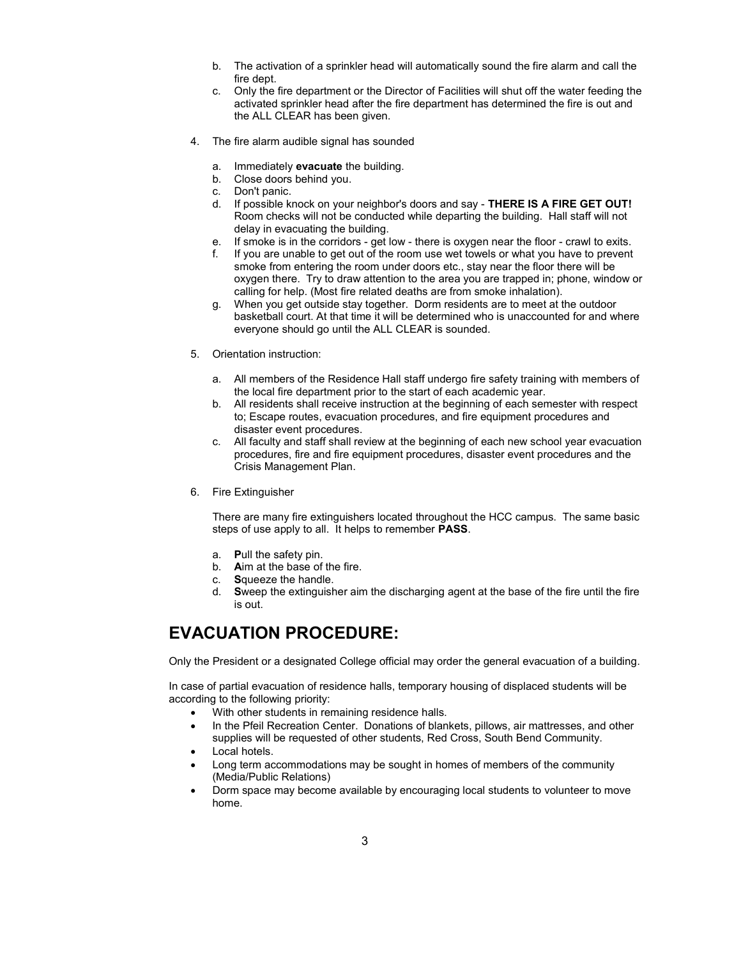- b. The activation of a sprinkler head will automatically sound the fire alarm and call the fire dept.
- c. Only the fire department or the Director of Facilities will shut off the water feeding the activated sprinkler head after the fire department has determined the fire is out and the ALL CLEAR has been given.
- 4. The fire alarm audible signal has sounded
	- a. Immediately evacuate the building.
	- b. Close doors behind you.
	- c. Don't panic.
	- d. If possible knock on your neighbor's doors and say THERE IS A FIRE GET OUT! Room checks will not be conducted while departing the building. Hall staff will not delay in evacuating the building.
	-
	- e. If smoke is in the corridors get low there is oxygen near the floor crawl to exits.<br>f. If you are unable to get out of the room use wet towels or what you have to prevent If you are unable to get out of the room use wet towels or what you have to prevent smoke from entering the room under doors etc., stay near the floor there will be oxygen there. Try to draw attention to the area you are trapped in; phone, window or calling for help. (Most fire related deaths are from smoke inhalation).
	- g. When you get outside stay together. Dorm residents are to meet at the outdoor basketball court. At that time it will be determined who is unaccounted for and where everyone should go until the ALL CLEAR is sounded.
- 5. Orientation instruction:
	- a. All members of the Residence Hall staff undergo fire safety training with members of the local fire department prior to the start of each academic year.
	- b. All residents shall receive instruction at the beginning of each semester with respect to; Escape routes, evacuation procedures, and fire equipment procedures and disaster event procedures.
	- c. All faculty and staff shall review at the beginning of each new school year evacuation procedures, fire and fire equipment procedures, disaster event procedures and the Crisis Management Plan.
- 6. Fire Extinguisher

There are many fire extinguishers located throughout the HCC campus. The same basic steps of use apply to all. It helps to remember **PASS**.

- a. Pull the safety pin.
- b. Aim at the base of the fire.<br>c. Squeeze the handle.
- Squeeze the handle.
- d. Sweep the extinguisher aim the discharging agent at the base of the fire until the fire is out.

# EVACUATION PROCEDURE:

Only the President or a designated College official may order the general evacuation of a building.

In case of partial evacuation of residence halls, temporary housing of displaced students will be according to the following priority:

- With other students in remaining residence halls.
- In the Pfeil Recreation Center. Donations of blankets, pillows, air mattresses, and other supplies will be requested of other students, Red Cross, South Bend Community.
- Local hotels.
- Long term accommodations may be sought in homes of members of the community (Media/Public Relations)
- Dorm space may become available by encouraging local students to volunteer to move home.